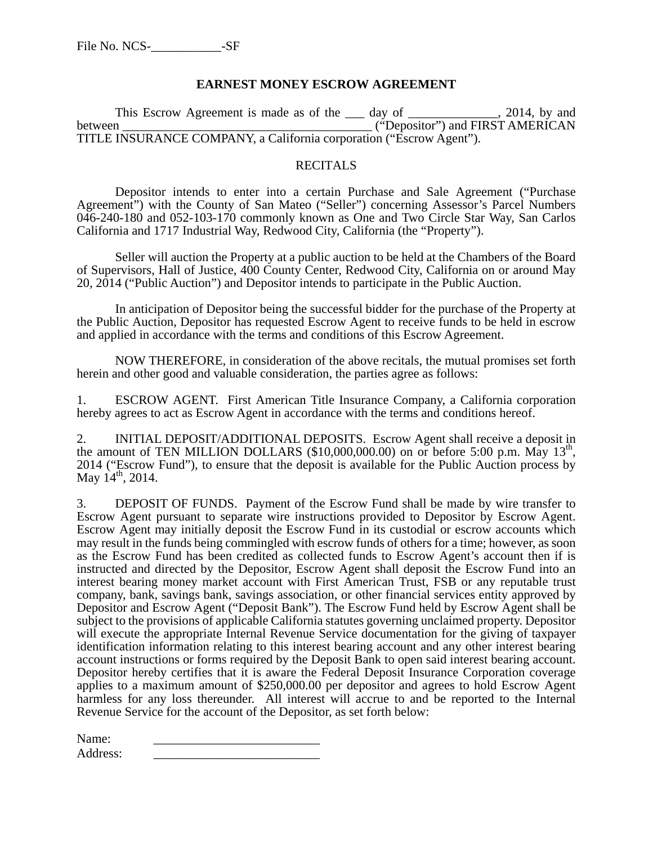### **EARNEST MONEY ESCROW AGREEMENT**

This Escrow Agreement is made as of the \_\_\_ day of \_\_\_\_\_\_\_\_\_\_\_, 2014, by and between  $\overline{C}$  ("Depositor") and FIRST AMERICAN TITLE INSURANCE COMPANY, a California corporation ("Escrow Agent").

### RECITALS

Depositor intends to enter into a certain Purchase and Sale Agreement ("Purchase Agreement") with the County of San Mateo ("Seller") concerning Assessor's Parcel Numbers 046-240-180 and 052-103-170 commonly known as One and Two Circle Star Way, San Carlos California and 1717 Industrial Way, Redwood City, California (the "Property").

Seller will auction the Property at a public auction to be held at the Chambers of the Board of Supervisors, Hall of Justice, 400 County Center, Redwood City, California on or around May 20, 2014 ("Public Auction") and Depositor intends to participate in the Public Auction.

In anticipation of Depositor being the successful bidder for the purchase of the Property at the Public Auction, Depositor has requested Escrow Agent to receive funds to be held in escrow and applied in accordance with the terms and conditions of this Escrow Agreement.

NOW THEREFORE, in consideration of the above recitals, the mutual promises set forth herein and other good and valuable consideration, the parties agree as follows:

1. ESCROW AGENT. First American Title Insurance Company, a California corporation hereby agrees to act as Escrow Agent in accordance with the terms and conditions hereof.

2. INITIAL DEPOSIT/ADDITIONAL DEPOSITS. Escrow Agent shall receive a deposit in the amount of TEN MILLION DOLLARS (\$10,000,000.00) on or before 5:00 p.m. May  $13<sup>th</sup>$ , 2014 ("Escrow Fund"), to ensure that the deposit is available for the Public Auction process by May  $14^{th}$ , 2014.

3. DEPOSIT OF FUNDS. Payment of the Escrow Fund shall be made by wire transfer to Escrow Agent pursuant to separate wire instructions provided to Depositor by Escrow Agent. Escrow Agent may initially deposit the Escrow Fund in its custodial or escrow accounts which may result in the funds being commingled with escrow funds of others for a time; however, as soon as the Escrow Fund has been credited as collected funds to Escrow Agent's account then if is instructed and directed by the Depositor, Escrow Agent shall deposit the Escrow Fund into an interest bearing money market account with First American Trust, FSB or any reputable trust company, bank, savings bank, savings association, or other financial services entity approved by Depositor and Escrow Agent ("Deposit Bank"). The Escrow Fund held by Escrow Agent shall be subject to the provisions of applicable California statutes governing unclaimed property. Depositor will execute the appropriate Internal Revenue Service documentation for the giving of taxpayer identification information relating to this interest bearing account and any other interest bearing account instructions or forms required by the Deposit Bank to open said interest bearing account. Depositor hereby certifies that it is aware the Federal Deposit Insurance Corporation coverage applies to a maximum amount of \$250,000.00 per depositor and agrees to hold Escrow Agent harmless for any loss thereunder. All interest will accrue to and be reported to the Internal Revenue Service for the account of the Depositor, as set forth below:

Name: Address: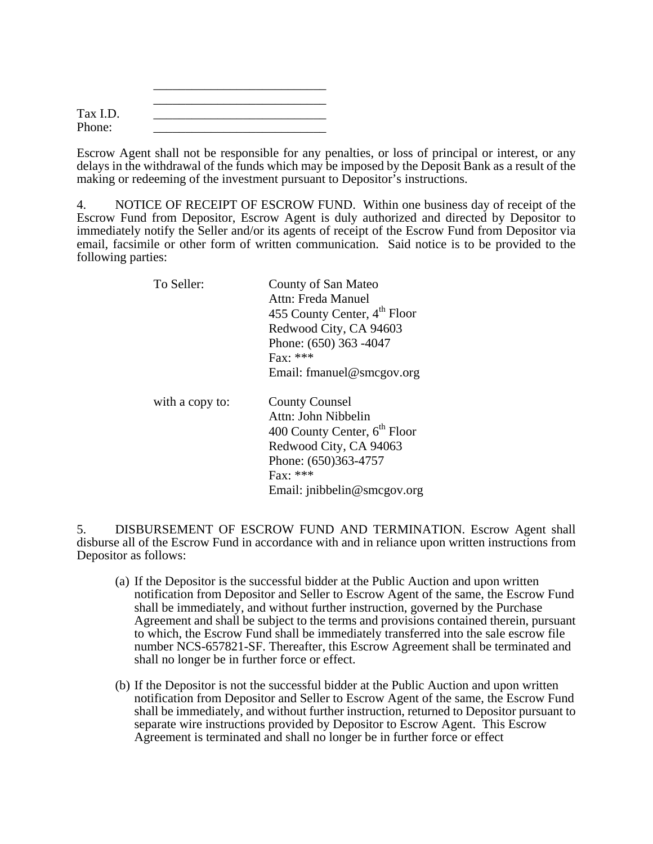| Tax I.D. |  |
|----------|--|
| Phone:   |  |

 $\frac{1}{\sqrt{2}}$  ,  $\frac{1}{\sqrt{2}}$  ,  $\frac{1}{\sqrt{2}}$  ,  $\frac{1}{\sqrt{2}}$  ,  $\frac{1}{\sqrt{2}}$  ,  $\frac{1}{\sqrt{2}}$  ,  $\frac{1}{\sqrt{2}}$  ,  $\frac{1}{\sqrt{2}}$  ,  $\frac{1}{\sqrt{2}}$  ,  $\frac{1}{\sqrt{2}}$  ,  $\frac{1}{\sqrt{2}}$  ,  $\frac{1}{\sqrt{2}}$  ,  $\frac{1}{\sqrt{2}}$  ,  $\frac{1}{\sqrt{2}}$  ,  $\frac{1}{\sqrt{2}}$ 

Escrow Agent shall not be responsible for any penalties, or loss of principal or interest, or any delays in the withdrawal of the funds which may be imposed by the Deposit Bank as a result of the making or redeeming of the investment pursuant to Depositor's instructions.

4. NOTICE OF RECEIPT OF ESCROW FUND. Within one business day of receipt of the Escrow Fund from Depositor, Escrow Agent is duly authorized and directed by Depositor to immediately notify the Seller and/or its agents of receipt of the Escrow Fund from Depositor via email, facsimile or other form of written communication. Said notice is to be provided to the following parties:

| To Seller:      | County of San Mateo                      |
|-----------------|------------------------------------------|
|                 | Attn: Freda Manuel                       |
|                 | 455 County Center, 4 <sup>th</sup> Floor |
|                 | Redwood City, CA 94603                   |
|                 | Phone: (650) 363 -4047                   |
|                 | $\text{Fax}:$ ***                        |
|                 | Email: fmanuel@smcgov.org                |
| with a copy to: | <b>County Counsel</b>                    |
|                 | Attn: John Nibbelin                      |
|                 | 400 County Center, 6 <sup>th</sup> Floor |
|                 | Redwood City, CA 94063                   |
|                 | Phone: (650)363-4757                     |
|                 | $Fax: ***$                               |
|                 | Email: jnibbelin@smcgov.org              |

5. DISBURSEMENT OF ESCROW FUND AND TERMINATION. Escrow Agent shall disburse all of the Escrow Fund in accordance with and in reliance upon written instructions from Depositor as follows:

- (a) If the Depositor is the successful bidder at the Public Auction and upon written notification from Depositor and Seller to Escrow Agent of the same, the Escrow Fund shall be immediately, and without further instruction, governed by the Purchase Agreement and shall be subject to the terms and provisions contained therein, pursuant to which, the Escrow Fund shall be immediately transferred into the sale escrow file number NCS-657821-SF. Thereafter, this Escrow Agreement shall be terminated and shall no longer be in further force or effect.
- (b) If the Depositor is not the successful bidder at the Public Auction and upon written notification from Depositor and Seller to Escrow Agent of the same, the Escrow Fund shall be immediately, and without further instruction, returned to Depositor pursuant to separate wire instructions provided by Depositor to Escrow Agent. This Escrow Agreement is terminated and shall no longer be in further force or effect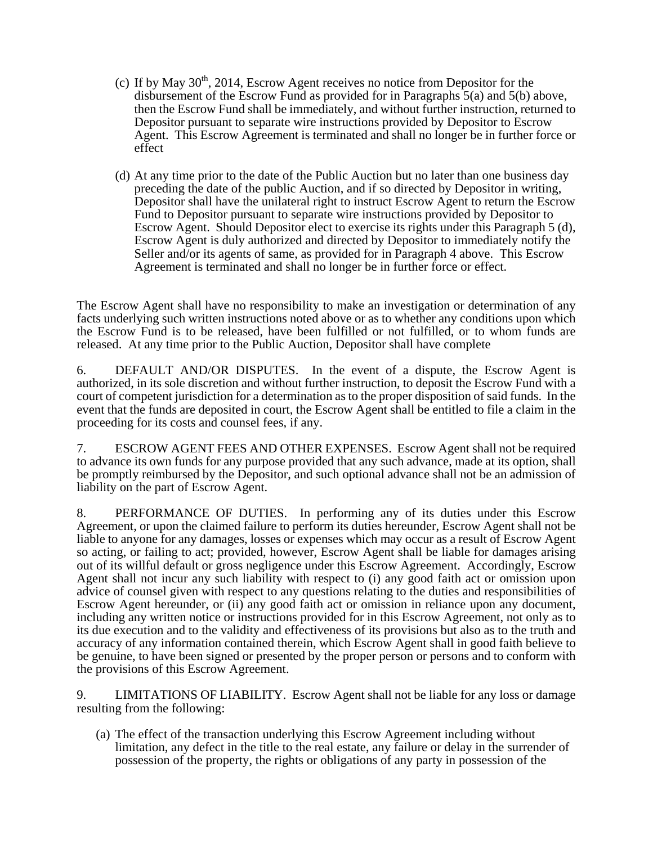- (c) If by May  $30<sup>th</sup>$ , 2014, Escrow Agent receives no notice from Depositor for the disbursement of the Escrow Fund as provided for in Paragraphs 5(a) and 5(b) above, then the Escrow Fund shall be immediately, and without further instruction, returned to Depositor pursuant to separate wire instructions provided by Depositor to Escrow Agent. This Escrow Agreement is terminated and shall no longer be in further force or effect
- (d) At any time prior to the date of the Public Auction but no later than one business day preceding the date of the public Auction, and if so directed by Depositor in writing, Depositor shall have the unilateral right to instruct Escrow Agent to return the Escrow Fund to Depositor pursuant to separate wire instructions provided by Depositor to Escrow Agent. Should Depositor elect to exercise its rights under this Paragraph 5 (d), Escrow Agent is duly authorized and directed by Depositor to immediately notify the Seller and/or its agents of same, as provided for in Paragraph 4 above. This Escrow Agreement is terminated and shall no longer be in further force or effect.

The Escrow Agent shall have no responsibility to make an investigation or determination of any facts underlying such written instructions noted above or as to whether any conditions upon which the Escrow Fund is to be released, have been fulfilled or not fulfilled, or to whom funds are released. At any time prior to the Public Auction, Depositor shall have complete

6. DEFAULT AND/OR DISPUTES. In the event of a dispute, the Escrow Agent is authorized, in its sole discretion and without further instruction, to deposit the Escrow Fund with a court of competent jurisdiction for a determination as to the proper disposition of said funds. In the event that the funds are deposited in court, the Escrow Agent shall be entitled to file a claim in the proceeding for its costs and counsel fees, if any.

7. ESCROW AGENT FEES AND OTHER EXPENSES. Escrow Agent shall not be required to advance its own funds for any purpose provided that any such advance, made at its option, shall be promptly reimbursed by the Depositor, and such optional advance shall not be an admission of liability on the part of Escrow Agent.

8. PERFORMANCE OF DUTIES. In performing any of its duties under this Escrow Agreement, or upon the claimed failure to perform its duties hereunder, Escrow Agent shall not be liable to anyone for any damages, losses or expenses which may occur as a result of Escrow Agent so acting, or failing to act; provided, however, Escrow Agent shall be liable for damages arising out of its willful default or gross negligence under this Escrow Agreement. Accordingly, Escrow Agent shall not incur any such liability with respect to (i) any good faith act or omission upon advice of counsel given with respect to any questions relating to the duties and responsibilities of Escrow Agent hereunder, or (ii) any good faith act or omission in reliance upon any document, including any written notice or instructions provided for in this Escrow Agreement, not only as to its due execution and to the validity and effectiveness of its provisions but also as to the truth and accuracy of any information contained therein, which Escrow Agent shall in good faith believe to be genuine, to have been signed or presented by the proper person or persons and to conform with the provisions of this Escrow Agreement.

9. LIMITATIONS OF LIABILITY. Escrow Agent shall not be liable for any loss or damage resulting from the following:

(a) The effect of the transaction underlying this Escrow Agreement including without limitation, any defect in the title to the real estate, any failure or delay in the surrender of possession of the property, the rights or obligations of any party in possession of the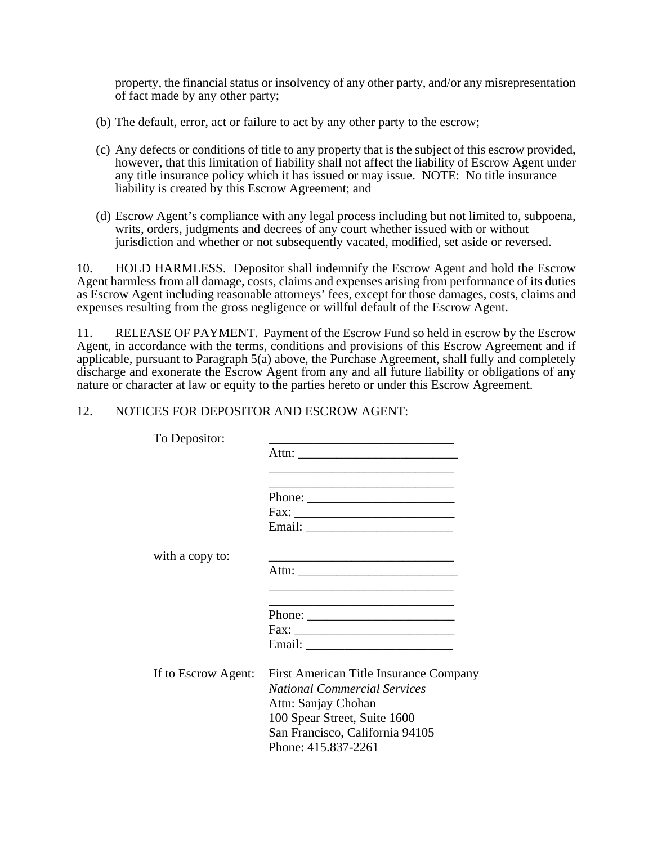property, the financial status or insolvency of any other party, and/or any misrepresentation of fact made by any other party;

- (b) The default, error, act or failure to act by any other party to the escrow;
- (c) Any defects or conditions of title to any property that is the subject of this escrow provided, however, that this limitation of liability shall not affect the liability of Escrow Agent under any title insurance policy which it has issued or may issue. NOTE: No title insurance liability is created by this Escrow Agreement; and
- (d) Escrow Agent's compliance with any legal process including but not limited to, subpoena, writs, orders, judgments and decrees of any court whether issued with or without jurisdiction and whether or not subsequently vacated, modified, set aside or reversed.

10. HOLD HARMLESS. Depositor shall indemnify the Escrow Agent and hold the Escrow Agent harmless from all damage, costs, claims and expenses arising from performance of its duties as Escrow Agent including reasonable attorneys' fees, except for those damages, costs, claims and expenses resulting from the gross negligence or willful default of the Escrow Agent.

11. RELEASE OF PAYMENT. Payment of the Escrow Fund so held in escrow by the Escrow Agent, in accordance with the terms, conditions and provisions of this Escrow Agreement and if applicable, pursuant to Paragraph  $5(a)$  above, the Purchase Agreement, shall fully and completely discharge and exonerate the Escrow Agent from any and all future liability or obligations of any nature or character at law or equity to the parties hereto or under this Escrow Agreement.

### 12. NOTICES FOR DEPOSITOR AND ESCROW AGENT:

| To Depositor:       | the control of the control of the control of the control of the control of the control of                                                                                                                                                                                                                                                                                                                    |
|---------------------|--------------------------------------------------------------------------------------------------------------------------------------------------------------------------------------------------------------------------------------------------------------------------------------------------------------------------------------------------------------------------------------------------------------|
|                     |                                                                                                                                                                                                                                                                                                                                                                                                              |
|                     |                                                                                                                                                                                                                                                                                                                                                                                                              |
|                     |                                                                                                                                                                                                                                                                                                                                                                                                              |
|                     | Phone: $\frac{1}{\sqrt{1-\frac{1}{2}}\sqrt{1-\frac{1}{2}}\sqrt{1-\frac{1}{2}}\sqrt{1-\frac{1}{2}}\sqrt{1-\frac{1}{2}}\sqrt{1-\frac{1}{2}}\sqrt{1-\frac{1}{2}}\sqrt{1-\frac{1}{2}}\sqrt{1-\frac{1}{2}}\sqrt{1-\frac{1}{2}}\sqrt{1-\frac{1}{2}}\sqrt{1-\frac{1}{2}}\sqrt{1-\frac{1}{2}}\sqrt{1-\frac{1}{2}}\sqrt{1-\frac{1}{2}}\sqrt{1-\frac{1}{2}}\sqrt{1-\frac{1}{2}}\sqrt{1-\frac{1}{2}}\sqrt{1-\frac{1}{2$ |
|                     |                                                                                                                                                                                                                                                                                                                                                                                                              |
|                     |                                                                                                                                                                                                                                                                                                                                                                                                              |
| with a copy to:     |                                                                                                                                                                                                                                                                                                                                                                                                              |
|                     |                                                                                                                                                                                                                                                                                                                                                                                                              |
|                     |                                                                                                                                                                                                                                                                                                                                                                                                              |
|                     |                                                                                                                                                                                                                                                                                                                                                                                                              |
|                     |                                                                                                                                                                                                                                                                                                                                                                                                              |
|                     |                                                                                                                                                                                                                                                                                                                                                                                                              |
| If to Escrow Agent: | First American Title Insurance Company                                                                                                                                                                                                                                                                                                                                                                       |
|                     | <b>National Commercial Services</b>                                                                                                                                                                                                                                                                                                                                                                          |
|                     | Attn: Sanjay Chohan                                                                                                                                                                                                                                                                                                                                                                                          |
|                     | 100 Spear Street, Suite 1600                                                                                                                                                                                                                                                                                                                                                                                 |
|                     | San Francisco, California 94105                                                                                                                                                                                                                                                                                                                                                                              |
|                     | Phone: 415.837-2261                                                                                                                                                                                                                                                                                                                                                                                          |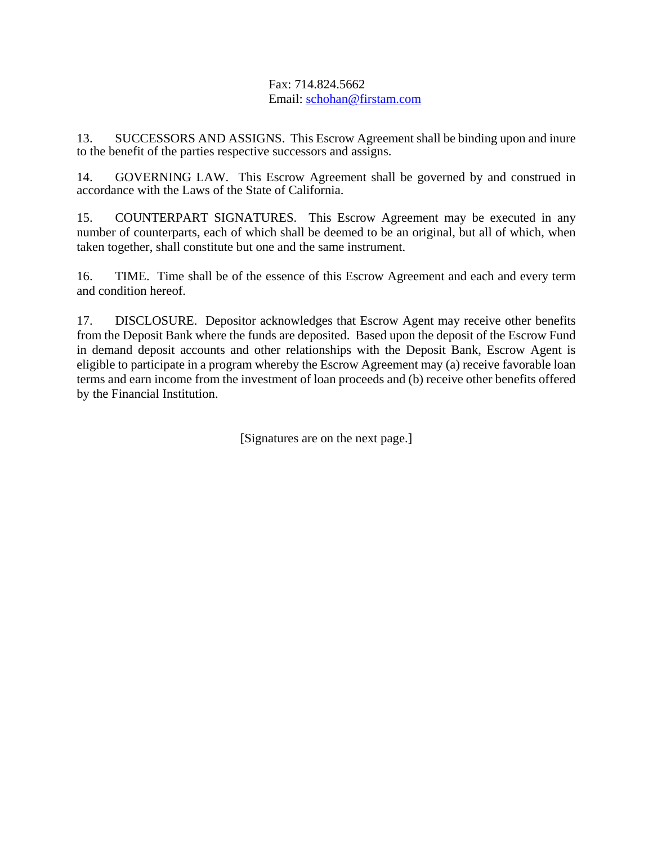# Fax: 714.824.5662 Email: schohan@firstam.com

13. SUCCESSORS AND ASSIGNS. This Escrow Agreement shall be binding upon and inure to the benefit of the parties respective successors and assigns.

14. GOVERNING LAW. This Escrow Agreement shall be governed by and construed in accordance with the Laws of the State of California.

15. COUNTERPART SIGNATURES. This Escrow Agreement may be executed in any number of counterparts, each of which shall be deemed to be an original, but all of which, when taken together, shall constitute but one and the same instrument.

16. TIME. Time shall be of the essence of this Escrow Agreement and each and every term and condition hereof.

17. DISCLOSURE. Depositor acknowledges that Escrow Agent may receive other benefits from the Deposit Bank where the funds are deposited. Based upon the deposit of the Escrow Fund in demand deposit accounts and other relationships with the Deposit Bank, Escrow Agent is eligible to participate in a program whereby the Escrow Agreement may (a) receive favorable loan terms and earn income from the investment of loan proceeds and (b) receive other benefits offered by the Financial Institution.

[Signatures are on the next page.]